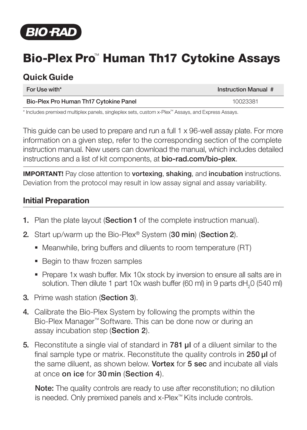

# Bio-Plex Pro™ Human Th17 Cytokine Assays

## Quick Guide

| For Use with*                          | Instruction Manual # |
|----------------------------------------|----------------------|
| Bio-Plex Pro Human Th17 Cytokine Panel | 10023381             |

\* Includes premixed multiplex panels, singleplex sets, custom x-Plex™ Assays, and Express Assays.

This guide can be used to prepare and run a full 1 x 96-well assay plate. For more information on a given step, refer to the corresponding section of the complete instruction manual. New users can download the manual, which includes detailed instructions and a list of kit components, at bio-rad.com/bio-plex.

IMPORTANT! Pay close attention to vortexing, shaking, and incubation instructions. Deviation from the protocol may result in low assay signal and assay variability.

### Initial Preparation

- 1. Plan the plate layout (Section 1 of the complete instruction manual).
- 2. Start up/warm up the Bio-Plex® System (30 min) (Section 2).
	- Meanwhile, bring buffers and diluents to room temperature (RT)
	- Begin to thaw frozen samples
	- Prepare 1x wash buffer. Mix 10x stock by inversion to ensure all salts are in solution. Then dilute 1 part 10x wash buffer (60 ml) in 9 parts dH<sub>2</sub>0 (540 ml)
- 3. Prime wash station (Section 3).
- 4. Calibrate the Bio-Plex System by following the prompts within the Bio-Plex Manager™ Software. This can be done now or during an assay incubation step (Section 2).
- 5. Reconstitute a single vial of standard in 781 **µl** of a diluent similar to the final sample type or matrix. Reconstitute the quality controls in 250 µl of the same diluent, as shown below. Vortex for 5 sec and incubate all vials at once on ice for 30 min (Section 4).

Note: The quality controls are ready to use after reconstitution; no dilution is needed. Only premixed panels and x-Plex™ Kits include controls.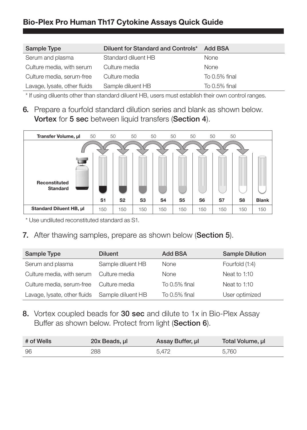### Bio-Plex Pro Human Th17 Cytokine Assays Quick Guide

| Sample Type                  | Diluent for Standard and Controls* | Add BSA       |
|------------------------------|------------------------------------|---------------|
| Serum and plasma             | Standard diluent HB                | None          |
| Culture media, with serum    | Culture media                      | None          |
| Culture media, serum-free    | Culture media                      | To 0.5% final |
| Lavage, lysate, other fluids | Sample diluent HB                  | To 0.5% final |

\* If using diluents other than standard diluent HB, users must establish their own control ranges.

6. Prepare a fourfold standard dilution series and blank as shown below. Vortex for 5 sec between liquid transfers (Section 4).



\* Use undiluted reconstituted standard as S1.

7. After thawing samples, prepare as shown below (Section 5).

| Sample Type                  | <b>Diluent</b>    | <b>Add BSA</b> | <b>Sample Dilution</b> |
|------------------------------|-------------------|----------------|------------------------|
| Serum and plasma             | Sample diluent HB | None           | Fourfold (1:4)         |
| Culture media, with serum    | Culture media     | None           | Neat to 1:10           |
| Culture media, serum-free    | Culture media     | To 0.5% final  | Neat to 1:10           |
| Lavage, lysate, other fluids | Sample diluent HB | To 0.5% final  | User optimized         |

8. Vortex coupled beads for 30 sec and dilute to 1x in Bio-Plex Assay Buffer as shown below. Protect from light (Section 6).

| # of Wells | 20x Beads, ul | Assay Buffer, ul | Total Volume, ul |
|------------|---------------|------------------|------------------|
| 96         | 288           | 5.472            | 5.760            |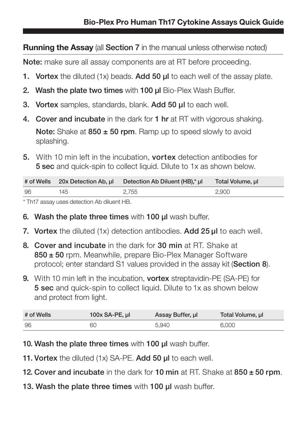### **Running the Assay** (all Section 7 in the manual unless otherwise noted)

Note: make sure all assay components are at RT before proceeding.

- 1. Vortex the diluted  $(1x)$  beads. Add 50  $\mu$ l to each well of the assay plate.
- 2. Wash the plate two times with 100 μl Bio-Plex Wash Buffer.
- 3. Vortex samples, standards, blank. Add 50 µl to each well.
- 4. Cover and incubate in the dark for 1 hr at RT with vigorous shaking. Note: Shake at  $850 \pm 50$  rpm. Ramp up to speed slowly to avoid splashing.
- 5. With 10 min left in the incubation, vortex detection antibodies for 5 sec and quick-spin to collect liquid. Dilute to 1x as shown below.

|    |     | # of Wells 20x Detection Ab, ul Detection Ab Diluent (HB),* ul | Total Volume, µl |
|----|-----|----------------------------------------------------------------|------------------|
| 96 | 145 | 2.755                                                          | 2.900            |

\* Th17 assay uses detection Ab diluent HB.

- 6. Wash the plate three times with 100 μl wash buffer.
- 7. Vortex the diluted (1x) detection antibodies. Add 25 µl to each well.
- 8. Cover and incubate in the dark for 30 min at RT. Shake at 850 ± 50 rpm. Meanwhile, prepare Bio-Plex Manager Software protocol; enter standard S1 values provided in the assay kit (Section 8).
- 9. With 10 min left in the incubation, vortex streptavidin-PE (SA-PE) for **5 sec** and quick-spin to collect liquid. Dilute to 1x as shown below and protect from light.

| # of Wells | 100x SA-PE, ul | Assay Buffer, ul | Total Volume, µl |
|------------|----------------|------------------|------------------|
| 96         | 60             | 5.940            | 6.000            |

- 10. Wash the plate three times with 100 μl wash buffer.
- 11. Vortex the diluted (1x) SA-PE. Add 50 μl to each well.
- 12. Cover and incubate in the dark for 10 min at RT. Shake at  $850 \pm 50$  rpm.
- 13. Wash the plate three times with 100 μl wash buffer.